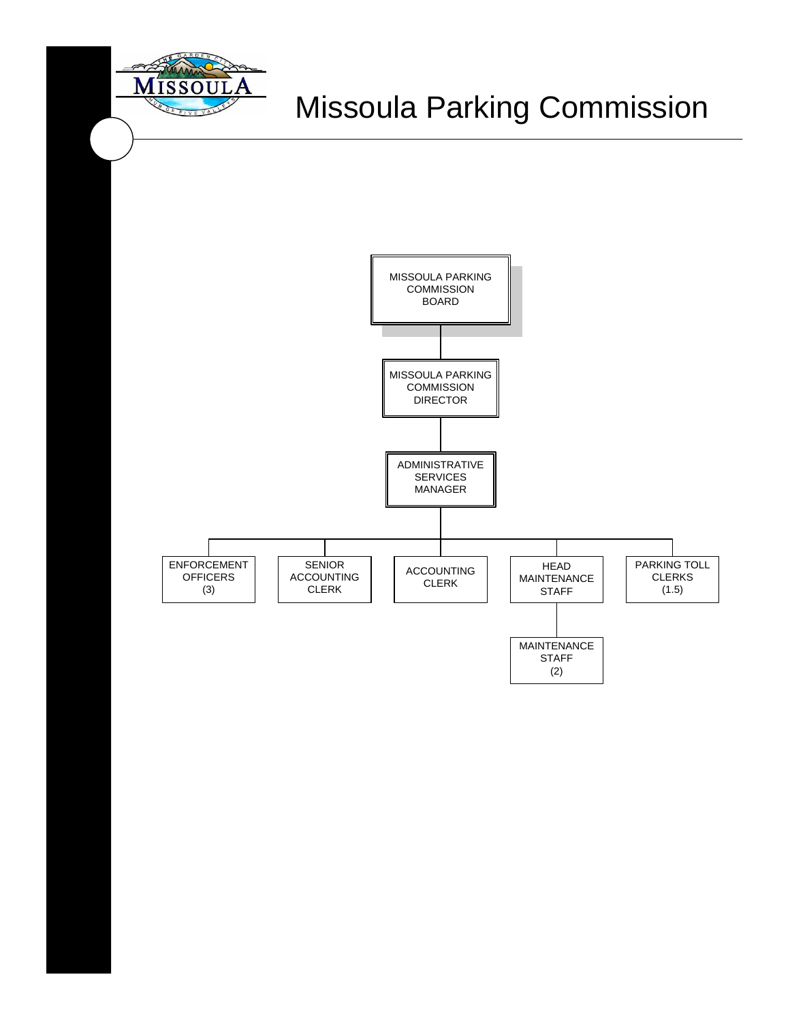

# Missoula Parking Commission

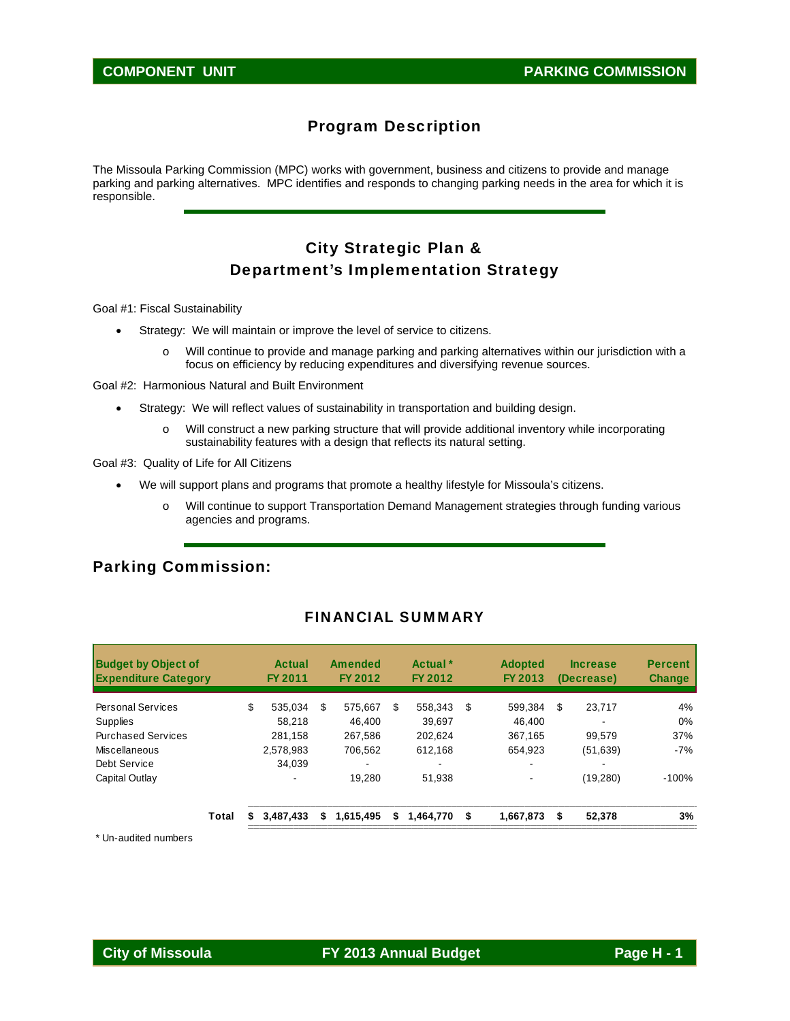### Program Description

The Missoula Parking Commission (MPC) works with government, business and citizens to provide and manage parking and parking alternatives. MPC identifies and responds to changing parking needs in the area for which it is responsible.

### City Strategic Plan & Department's Implementation Strategy

Goal #1: Fiscal Sustainability

- Strategy: We will maintain or improve the level of service to citizens.
	- o Will continue to provide and manage parking and parking alternatives within our jurisdiction with a focus on efficiency by reducing expenditures and diversifying revenue sources.

Goal #2: Harmonious Natural and Built Environment

- Strategy: We will reflect values of sustainability in transportation and building design.
	- o Will construct a new parking structure that will provide additional inventory while incorporating sustainability features with a design that reflects its natural setting.

Goal #3: Quality of Life for All Citizens

- We will support plans and programs that promote a healthy lifestyle for Missoula's citizens.
	- o Will continue to support Transportation Demand Management strategies through funding various agencies and programs.

### Parking Commission:

| <b>Budget by Object of</b><br><b>Expenditure Category</b> |       | Actual<br>FY 2011 |   | Amended<br>FY 2012 |    | Actual <sup>*</sup><br>FY 2012 | <b>Adopted</b><br>FY 2013 | <b>Increase</b><br>(Decrease) | <b>Percent</b><br><b>Change</b> |
|-----------------------------------------------------------|-------|-------------------|---|--------------------|----|--------------------------------|---------------------------|-------------------------------|---------------------------------|
| <b>Personal Services</b>                                  |       | \$<br>535.034     | S | 575.667            | S  | 558.343                        | \$<br>599.384             | \$<br>23,717                  | 4%                              |
| Supplies                                                  |       | 58.218            |   | 46.400             |    | 39.697                         | 46.400                    |                               | $0\%$                           |
| <b>Purchased Services</b>                                 |       | 281.158           |   | 267.586            |    | 202.624                        | 367.165                   | 99.579                        | 37%                             |
| Miscellaneous                                             |       | 2,578,983         |   | 706.562            |    | 612,168                        | 654,923                   | (51, 639)                     | $-7%$                           |
| Debt Service                                              |       | 34.039            |   |                    |    |                                | $\overline{\phantom{0}}$  |                               |                                 |
| Capital Outlay                                            |       | ۰.                |   | 19.280             |    | 51.938                         | $\blacksquare$            | (19,280)                      | $-100%$                         |
|                                                           | Total | 3.487.433         | S | 1,615,495          | \$ | 1.464.770                      | \$<br>1.667.873           | \$<br>52,378                  | 3%                              |

#### FINANCIAL SUMMARY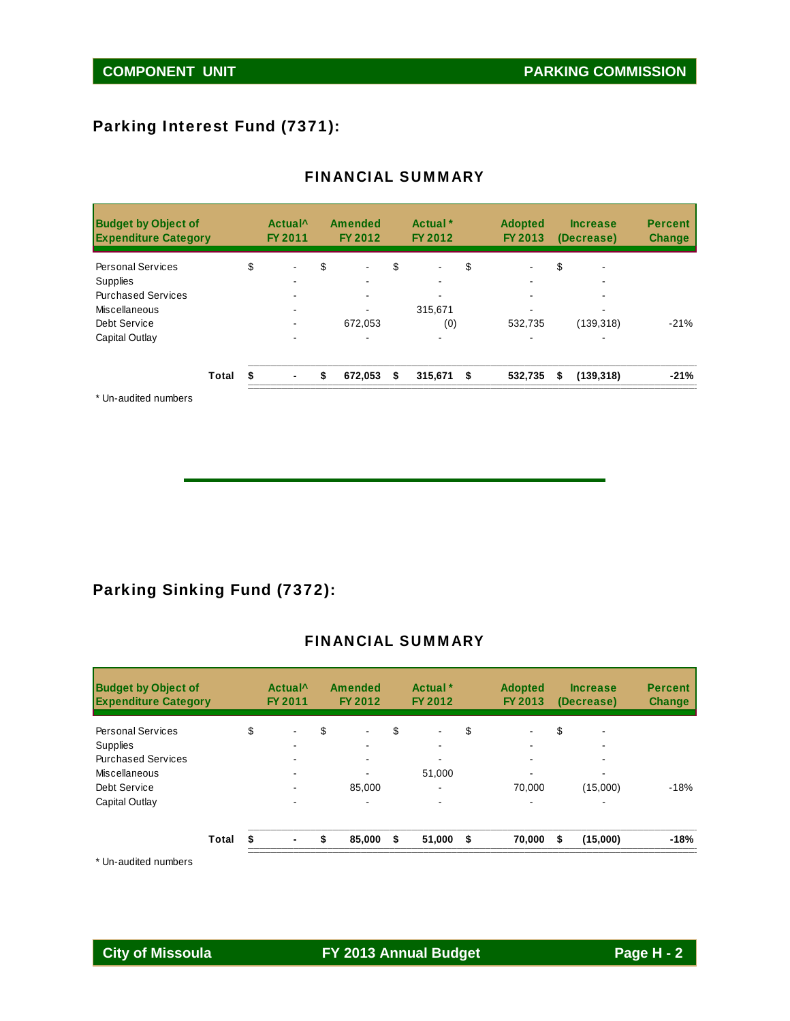### Parking Interest Fund (7371):

| <b>Budget by Object of</b><br><b>Expenditure Category</b> |       |    | Actual <sup>^</sup><br>FY 2011 | Amended<br>FY 2012 | Actual *<br>FY 2012 | <b>Adopted</b><br>FY 2013 | <b>Increase</b><br>(Decrease) | <b>Percent</b><br><b>Change</b> |
|-----------------------------------------------------------|-------|----|--------------------------------|--------------------|---------------------|---------------------------|-------------------------------|---------------------------------|
| <b>Personal Services</b>                                  |       | \$ |                                | \$                 | \$                  | \$                        | \$                            |                                 |
| Supplies                                                  |       |    |                                |                    |                     |                           | -                             |                                 |
| <b>Purchased Services</b>                                 |       |    |                                |                    |                     |                           |                               |                                 |
| Miscellaneous                                             |       |    |                                |                    | 315.671             |                           |                               |                                 |
| Debt Service                                              |       |    | ۰.                             | 672.053            | (0)                 | 532.735                   | (139, 318)                    | $-21%$                          |
| Capital Outlay                                            |       |    |                                |                    |                     |                           |                               |                                 |
|                                                           | Total | S  |                                | \$<br>672,053      | \$<br>$315,671$ \$  | 532,735                   | \$<br>(139, 318)              | $-21%$                          |

\* Un-audited numbers

### Parking Sinking Fund (7372):

### FINANCIAL SUMMARY

| <b>Budget by Object of</b><br><b>Expenditure Category</b> |       | Actual <sup>^</sup><br>FY 2011 | Amended<br>FY 2012   |    | Actual <sup>*</sup><br>FY 2012 | <b>Adopted</b><br>FY 2013 | <b>Increase</b><br>(Decrease) | <b>Percent</b><br><b>Change</b> |
|-----------------------------------------------------------|-------|--------------------------------|----------------------|----|--------------------------------|---------------------------|-------------------------------|---------------------------------|
| <b>Personal Services</b>                                  | \$    |                                | \$<br>$\blacksquare$ | S  |                                | \$                        | \$<br>-                       |                                 |
| <b>Supplies</b>                                           |       |                                |                      |    |                                |                           |                               |                                 |
| <b>Purchased Services</b>                                 |       |                                | ۰.                   |    |                                |                           | ۰                             |                                 |
| Miscellaneous                                             |       |                                |                      |    | 51,000                         |                           | -                             |                                 |
| Debt Service                                              |       |                                | 85,000               |    |                                | 70.000                    | (15,000)                      | $-18%$                          |
| Capital Outlay                                            |       |                                |                      |    |                                | -                         | -                             |                                 |
|                                                           | Total | \$<br>$\blacksquare$           | \$<br>85.000         | \$ | 51,000                         | \$<br>70.000              | \$<br>(15,000)                | $-18%$                          |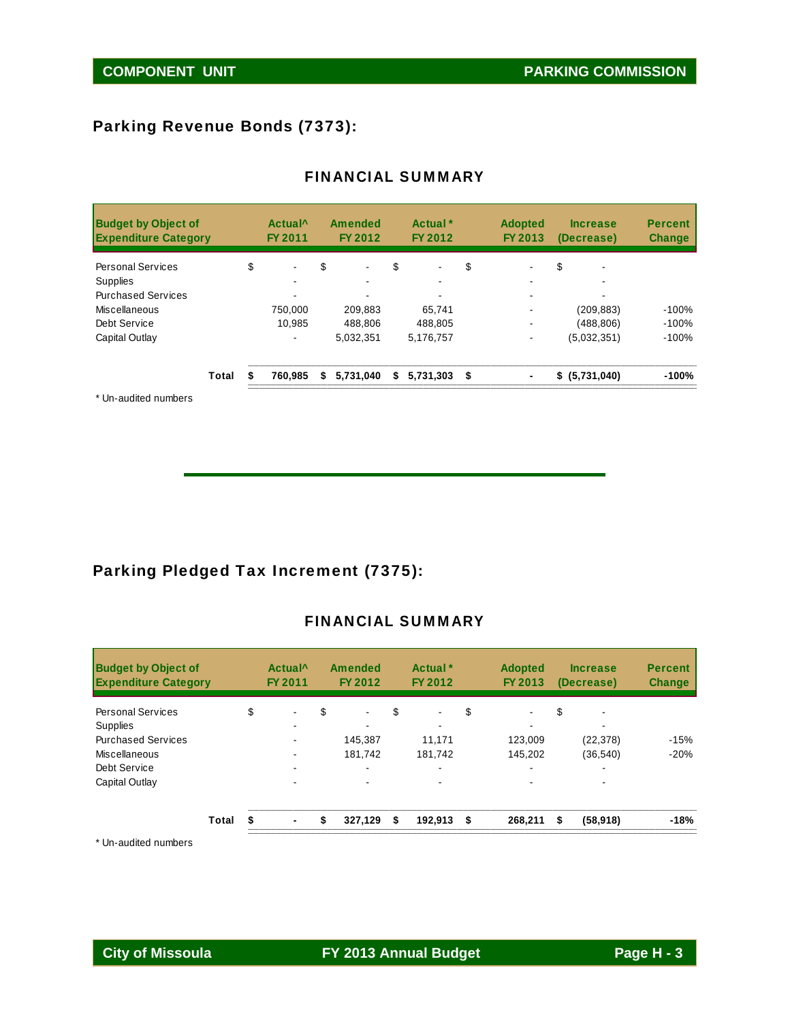### Parking Revenue Bonds (7373):

| <b>Budget by Object of</b><br><b>Expenditure Category</b> |       | Actual <sup>^</sup><br><b>FY 2011</b> |    | <b>Amended</b><br>FY 2012 | Actual <sup>*</sup><br>FY 2012 | <b>Adopted</b><br>FY 2013 | <b>Increase</b><br>(Decrease) | <b>Percent</b><br><b>Change</b> |
|-----------------------------------------------------------|-------|---------------------------------------|----|---------------------------|--------------------------------|---------------------------|-------------------------------|---------------------------------|
| <b>Personal Services</b>                                  |       | \$<br>$\blacksquare$                  | \$ | $\overline{\phantom{0}}$  | \$<br>$\blacksquare$           | \$                        | \$                            |                                 |
| <b>Supplies</b>                                           |       |                                       |    |                           |                                | -                         |                               |                                 |
| <b>Purchased Services</b>                                 |       |                                       |    |                           | $\blacksquare$                 |                           | ۰                             |                                 |
| Miscellaneous                                             |       | 750.000                               |    | 209.883                   | 65.741                         |                           | (209, 883)                    | $-100%$                         |
| Debt Service                                              |       | 10.985                                |    | 488.806                   | 488,805                        |                           | (488,806)                     | $-100%$                         |
| Capital Outlay                                            |       |                                       |    | 5,032,351                 | 5,176,757                      | ۰                         | (5.032.351)                   | $-100%$                         |
|                                                           | Total | 760.985                               | S  | 5.731.040                 | \$<br>$5,731,303$ \$           | ٠                         | \$ (5,731,040)                | $-100%$                         |

### FINANCIAL SUMMARY

\* Un-audited numbers

## Parking Pledged Tax Increment (7375):

### FINANCIAL SUMMARY

| <b>Budget by Object of</b><br><b>Expenditure Category</b> |       |    | Actual <sup>^</sup><br>FY 2011 | <b>Amended</b><br>FY 2012 | Actual <sup>*</sup><br>FY 2012 | <b>Adopted</b><br>FY 2013 |    | <b>Increase</b><br>(Decrease) | <b>Percent</b><br><b>Change</b> |
|-----------------------------------------------------------|-------|----|--------------------------------|---------------------------|--------------------------------|---------------------------|----|-------------------------------|---------------------------------|
| <b>Personal Services</b>                                  |       | \$ | ٠                              | \$<br>$\blacksquare$      | \$<br>$\blacksquare$           | \$<br>$\blacksquare$      | \$ |                               |                                 |
| Supplies                                                  |       |    |                                |                           |                                |                           |    |                               |                                 |
| <b>Purchased Services</b>                                 |       |    |                                | 145,387                   | 11.171                         | 123,009                   |    | (22, 378)                     | $-15%$                          |
| Miscellaneous                                             |       |    |                                | 181.742                   | 181.742                        | 145,202                   |    | (36, 540)                     | $-20%$                          |
| Debt Service                                              |       |    | ۰.                             | $\blacksquare$            |                                | $\overline{\phantom{0}}$  |    | -                             |                                 |
| Capital Outlay                                            |       |    |                                |                           |                                |                           |    |                               |                                 |
|                                                           | Total | S  |                                | \$<br>327.129             | \$<br>192.913                  | \$<br>268.211             | S  | (58, 918)                     | $-18%$                          |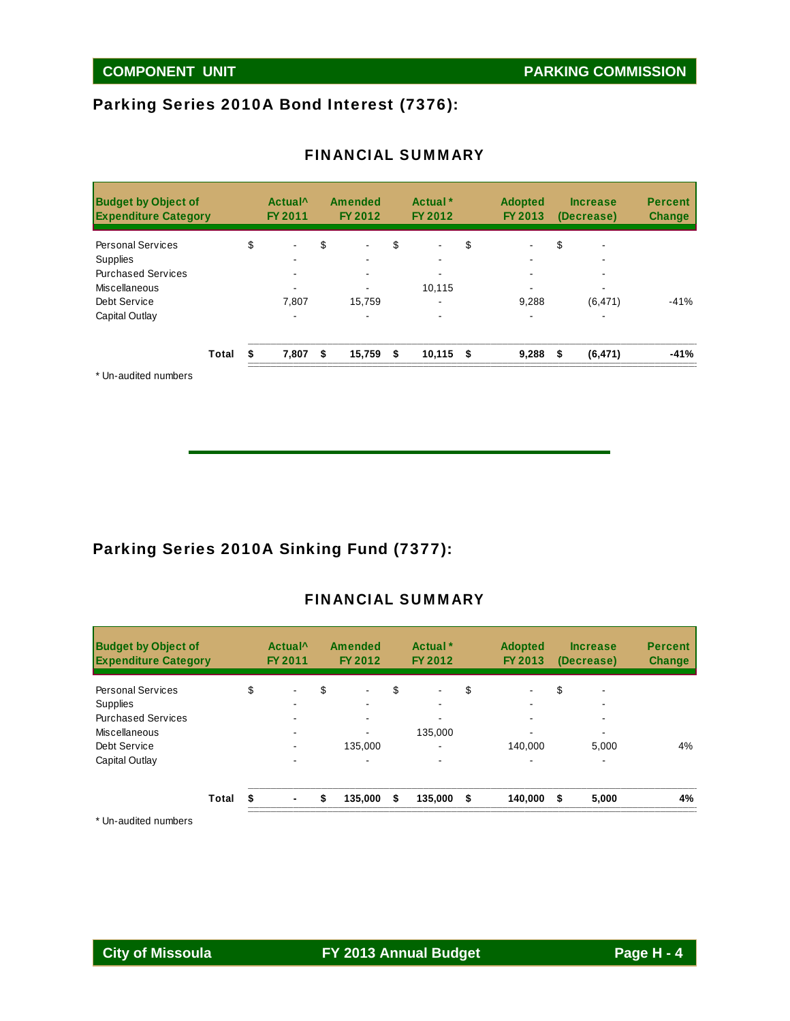## Parking Series 2010A Bond Interest (7376):

| <b>Budget by Object of</b><br><b>Expenditure Category</b> |       | Actual <sup>^</sup><br>FY 2011 | <b>Amended</b><br>FY 2012 | Actual *<br>FY 2012  | <b>Adopted</b><br>FY 2013 |    | <b>Increase</b><br>(Decrease) | <b>Percent</b><br><b>Change</b> |
|-----------------------------------------------------------|-------|--------------------------------|---------------------------|----------------------|---------------------------|----|-------------------------------|---------------------------------|
| <b>Personal Services</b>                                  |       | \$<br>$\blacksquare$           | \$<br>$\blacksquare$      | \$<br>$\blacksquare$ | \$                        | S  |                               |                                 |
| Supplies                                                  |       |                                |                           |                      |                           |    |                               |                                 |
| <b>Purchased Services</b>                                 |       |                                |                           |                      |                           |    |                               |                                 |
| <b>Miscellaneous</b>                                      |       |                                |                           | 10,115               |                           |    |                               |                                 |
| Debt Service                                              |       | 7,807                          | 15,759                    | ۰                    | 9,288                     |    | (6, 471)                      | $-41%$                          |
| Capital Outlay                                            |       | $\blacksquare$                 |                           |                      | $\overline{\phantom{0}}$  |    | -                             |                                 |
|                                                           | Total | 7,807                          | \$<br>15,759              | \$<br>$10,115$ \$    | 9,288                     | \$ | (6, 471)                      | $-41%$                          |
|                                                           |       |                                |                           |                      |                           |    |                               |                                 |

### FINANCIAL SUMMARY

Un-audited numbers

### Parking Series 2010A Sinking Fund (7377):

### FINANCIAL SUMMARY

| <b>Budget by Object of</b><br><b>Expenditure Category</b> |       |    | Actual <sup>^</sup><br>FY 2011 | <b>Amended</b><br>FY 2012 | Actual <sup>*</sup><br>FY 2012 | <b>Adopted</b><br>FY 2013 | <b>Increase</b><br>(Decrease) | <b>Percent</b><br><b>Change</b> |
|-----------------------------------------------------------|-------|----|--------------------------------|---------------------------|--------------------------------|---------------------------|-------------------------------|---------------------------------|
| <b>Personal Services</b>                                  |       | \$ |                                | \$<br>$\blacksquare$      | \$                             | \$                        | \$                            |                                 |
| <b>Supplies</b>                                           |       |    |                                |                           |                                |                           | -                             |                                 |
| <b>Purchased Services</b>                                 |       |    |                                |                           |                                |                           |                               |                                 |
| Miscellaneous                                             |       |    |                                |                           | 135.000                        |                           | -                             |                                 |
| Debt Service                                              |       |    |                                | 135,000                   |                                | 140.000                   | 5,000                         | 4%                              |
| Capital Outlay                                            |       |    |                                |                           |                                |                           |                               |                                 |
|                                                           | Total | S  |                                | \$<br>135.000             | \$<br>135.000                  | \$<br>140.000             | \$<br>5,000                   | 4%                              |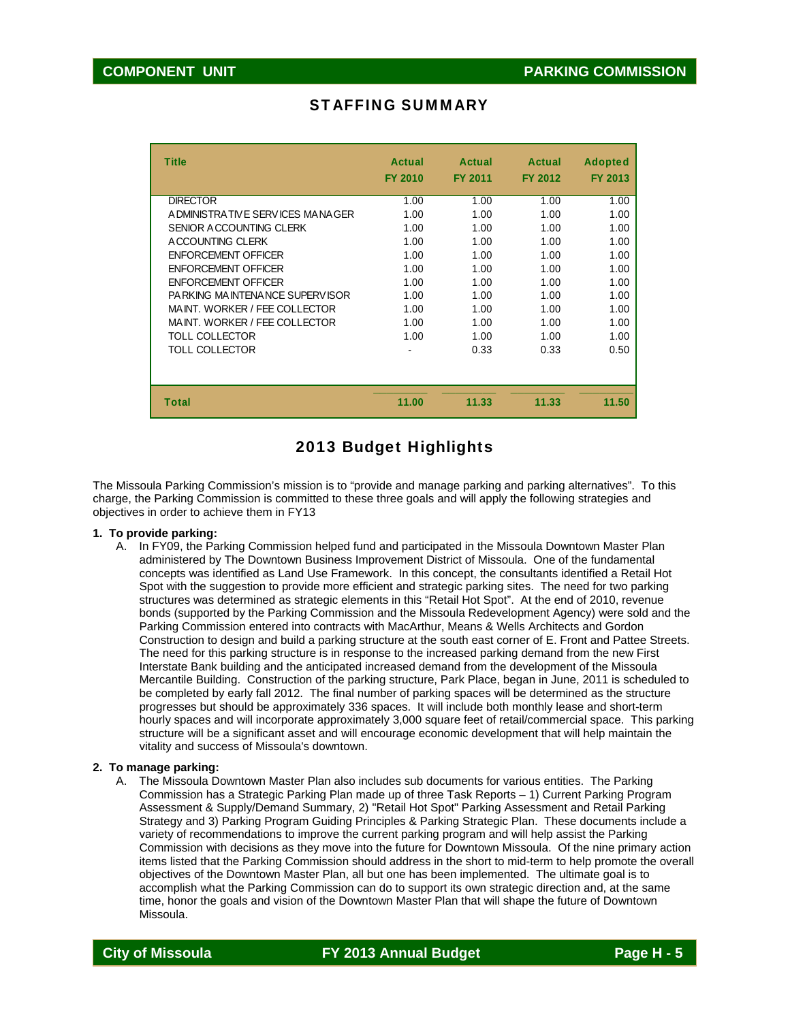| <b>Title</b>                     | Actual<br><b>FY 2010</b> | Actual<br><b>FY 2011</b> | Actual<br><b>FY 2012</b> | <b>Adopted</b><br><b>FY 2013</b> |
|----------------------------------|--------------------------|--------------------------|--------------------------|----------------------------------|
| <b>DIRECTOR</b>                  | 1.00                     | 1.00                     | 1.00                     | 1.00                             |
| A DMINISTRATIVE SERVICES MANAGER | 1.00                     | 1.00                     | 1.00                     | 1.00                             |
| SENIOR ACCOUNTING CLERK          | 1.00                     | 1.00                     | 1.00                     | 1.00                             |
| A CCOUNTING CLERK                | 1.00                     | 1.00                     | 1.00                     | 1.00                             |
| <b>ENFORCEMENT OFFICER</b>       | 1.00                     | 1.00                     | 1.00                     | 1.00                             |
| <b>ENFORCEMENT OFFICER</b>       | 1.00                     | 1.00                     | 1.00                     | 1.00                             |
| <b>ENFORCEMENT OFFICER</b>       | 1.00                     | 1.00                     | 1.00                     | 1.00                             |
| PARKING MAINTENANCE SUPERVISOR   | 1.00                     | 1.00                     | 1.00                     | 1.00                             |
| MAINT. WORKER / FEE COLLECTOR    | 1.00                     | 1.00                     | 1.00                     | 1.00                             |
| MAINT. WORKER / FEE COLLECTOR    | 1.00                     | 1.00                     | 1.00                     | 1.00                             |
| <b>TOLL COLLECTOR</b>            | 1.00                     | 1.00                     | 1.00                     | 1.00                             |
| TOLL COLLECTOR                   |                          | 0.33                     | 0.33                     | 0.50                             |
| <b>Total</b>                     | 11.00                    | 11.33                    | 11.33                    | 11.50                            |

### STAFFING SUMMARY

### 2013 Budget Highlights

The Missoula Parking Commission's mission is to "provide and manage parking and parking alternatives". To this charge, the Parking Commission is committed to these three goals and will apply the following strategies and objectives in order to achieve them in FY13

#### **1. To provide parking:**

A. In FY09, the Parking Commission helped fund and participated in the Missoula Downtown Master Plan administered by The Downtown Business Improvement District of Missoula. One of the fundamental concepts was identified as Land Use Framework. In this concept, the consultants identified a Retail Hot Spot with the suggestion to provide more efficient and strategic parking sites. The need for two parking structures was determined as strategic elements in this "Retail Hot Spot". At the end of 2010, revenue bonds (supported by the Parking Commission and the Missoula Redevelopment Agency) were sold and the Parking Commission entered into contracts with MacArthur, Means & Wells Architects and Gordon Construction to design and build a parking structure at the south east corner of E. Front and Pattee Streets. The need for this parking structure is in response to the increased parking demand from the new First Interstate Bank building and the anticipated increased demand from the development of the Missoula Mercantile Building. Construction of the parking structure, Park Place, began in June, 2011 is scheduled to be completed by early fall 2012. The final number of parking spaces will be determined as the structure progresses but should be approximately 336 spaces. It will include both monthly lease and short-term hourly spaces and will incorporate approximately 3,000 square feet of retail/commercial space. This parking structure will be a significant asset and will encourage economic development that will help maintain the vitality and success of Missoula's downtown.

#### **2. To manage parking:**

A. The Missoula Downtown Master Plan also includes sub documents for various entities. The Parking Commission has a Strategic Parking Plan made up of three Task Reports – 1) Current Parking Program Assessment & Supply/Demand Summary, 2) "Retail Hot Spot" Parking Assessment and Retail Parking Strategy and 3) Parking Program Guiding Principles & Parking Strategic Plan. These documents include a variety of recommendations to improve the current parking program and will help assist the Parking Commission with decisions as they move into the future for Downtown Missoula. Of the nine primary action items listed that the Parking Commission should address in the short to mid-term to help promote the overall objectives of the Downtown Master Plan, all but one has been implemented. The ultimate goal is to accomplish what the Parking Commission can do to support its own strategic direction and, at the same time, honor the goals and vision of the Downtown Master Plan that will shape the future of Downtown Missoula.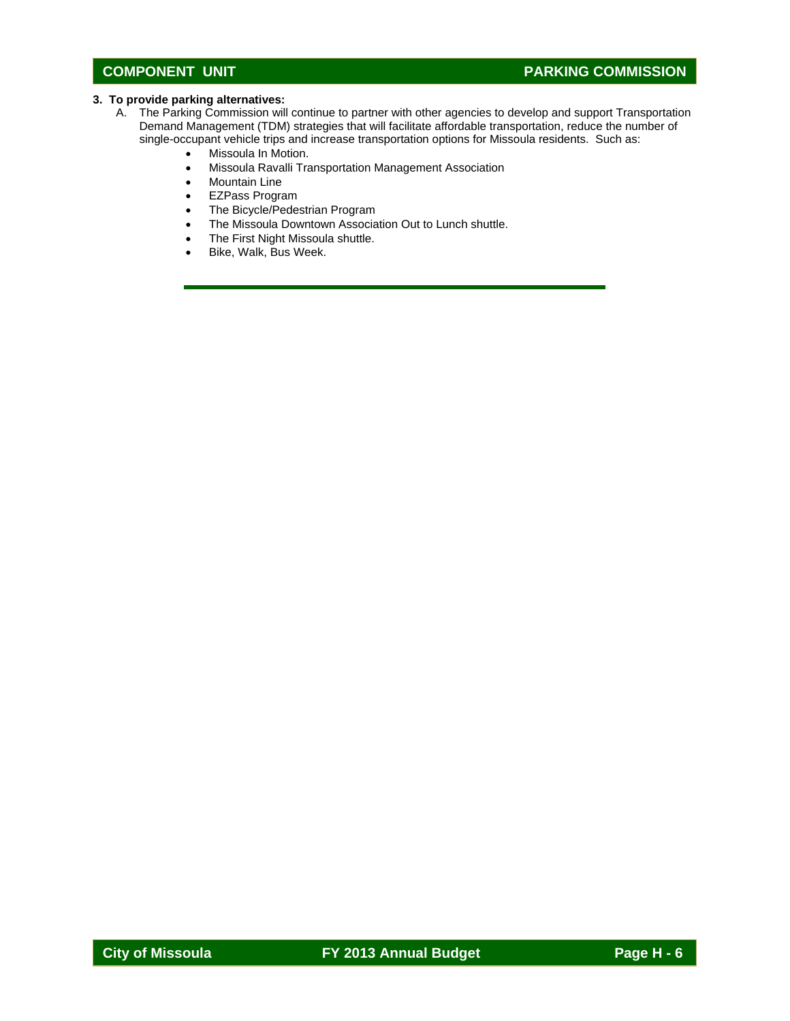### **COMPONENT UNIT COMPONENT UNIT**

#### **3. To provide parking alternatives:**

- A. The Parking Commission will continue to partner with other agencies to develop and support Transportation Demand Management (TDM) strategies that will facilitate affordable transportation, reduce the number of single-occupant vehicle trips and increase transportation options for Missoula residents. Such as:
	- Missoula In Motion.
	- Missoula Ravalli Transportation Management Association
	- Mountain Line
	- EZPass Program
	- The Bicycle/Pedestrian Program
	- The Missoula Downtown Association Out to Lunch shuttle.
	- The First Night Missoula shuttle.
	- Bike, Walk, Bus Week.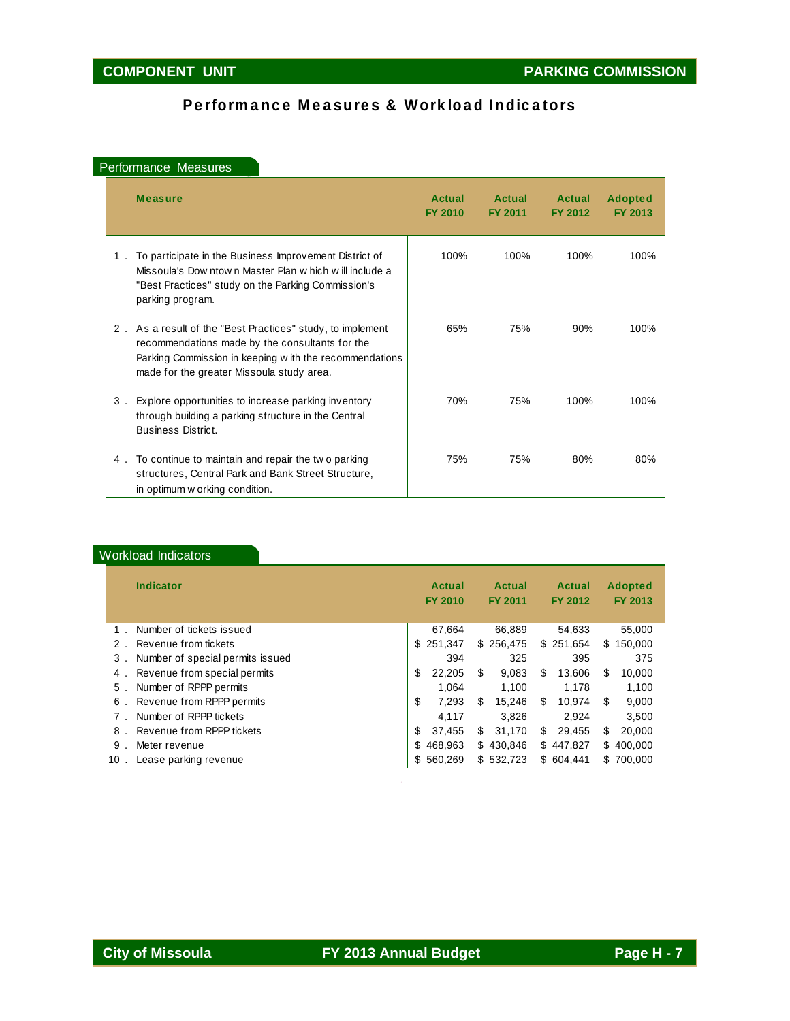### Performance Measures & Workload Indicators

#### Performance Measures

|       | <b>Measure</b>                                                                                                                                                                                                     | Actual<br><b>FY 2010</b> | Actual<br><b>FY 2011</b> | Actual<br>FY 2012 | <b>Adopted</b><br>FY 2013 |
|-------|--------------------------------------------------------------------------------------------------------------------------------------------------------------------------------------------------------------------|--------------------------|--------------------------|-------------------|---------------------------|
| $1$ . | To participate in the Business Improvement District of<br>Missoula's Downtown Master Plan which will include a<br>"Best Practices" study on the Parking Commission's<br>parking program.                           | 100%                     | 100%                     | 100%              | 100%                      |
| $2$ . | As a result of the "Best Practices" study, to implement<br>recommendations made by the consultants for the<br>Parking Commission in keeping w ith the recommendations<br>made for the greater Missoula study area. | 65%                      | 75%                      | 90%               | 100%                      |
| 3.    | Explore opportunities to increase parking inventory<br>through building a parking structure in the Central<br><b>Business District.</b>                                                                            | 70%                      | 75%                      | 100%              | 100%                      |
| 4.    | To continue to maintain and repair the two parking<br>structures, Central Park and Bank Street Structure,<br>in optimum w orking condition.                                                                        | 75%                      | 75%                      | 80%               | 80%                       |

### Workload Indicators

| <b>Indicator</b>                      | Actual<br><b>FY 2010</b> | Actual<br><b>FY 2011</b> | Actual<br><b>FY 2012</b> | <b>Adopted</b><br>FY 2013 |
|---------------------------------------|--------------------------|--------------------------|--------------------------|---------------------------|
| Number of tickets issued              | 67,664                   | 66,889                   | 54,633                   | 55,000                    |
| Revenue from tickets<br>2.            | \$251.347                | \$256,475                | \$251,654                | 150,000<br>\$.            |
| Number of special permits issued<br>3 | 394                      | 325                      | 395                      | 375                       |
| Revenue from special permits<br>4.    | \$<br>22,205             | \$.<br>9.083             | \$.<br>13.606            | S<br>10,000               |
| Number of RPPP permits<br>5.          | 1.064                    | 1.100                    | 1,178                    | 1,100                     |
| Revenue from RPPP permits<br>6.       | \$<br>7.293              | \$<br>15.246             | \$<br>10.974             | 9,000<br>S                |
| Number of RPPP tickets                | 4,117                    | 3.826                    | 2.924                    | 3.500                     |
| Revenue from RPPP tickets<br>8        | \$<br>37.455             | \$<br>31,170             | 29.455<br>\$             | \$<br>20,000              |
| 9<br>Meter revenue                    | 468.963<br>\$            | \$430,846                | \$447,827                | 400,000<br>S.             |
| Lease parking revenue<br>$10$ .       | \$560,269                | \$532,723                | \$604.441                | 700,000<br>\$.            |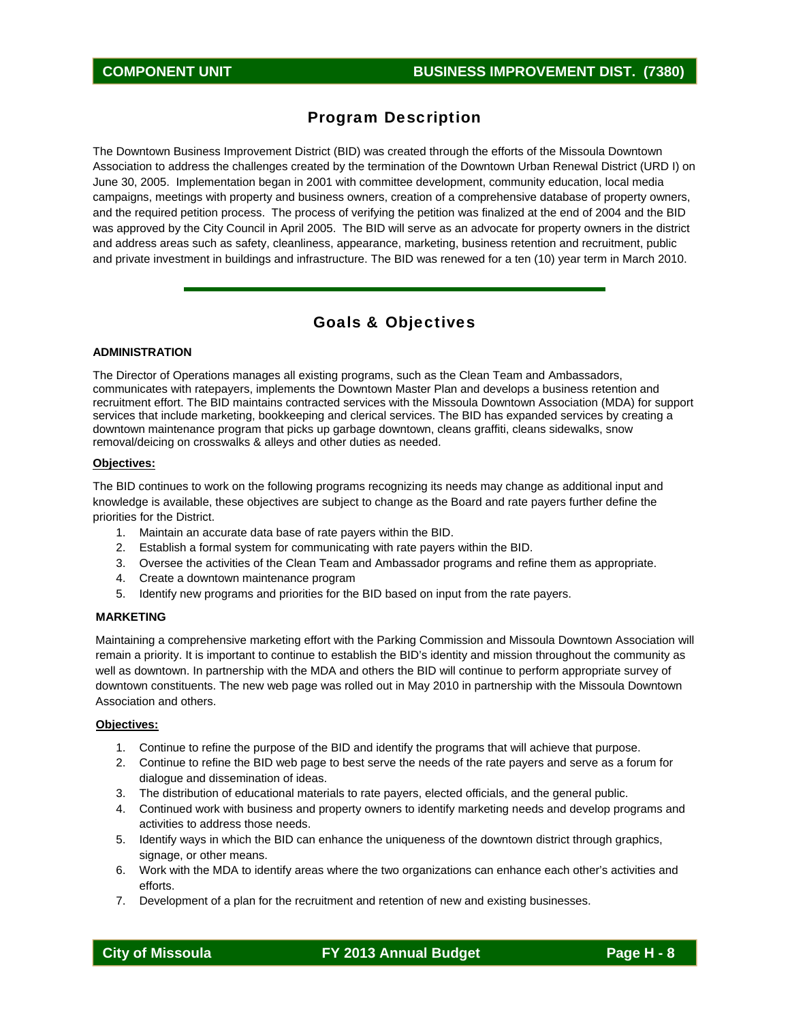### Program Description

The Downtown Business Improvement District (BID) was created through the efforts of the Missoula Downtown Association to address the challenges created by the termination of the Downtown Urban Renewal District (URD I) on June 30, 2005. Implementation began in 2001 with committee development, community education, local media campaigns, meetings with property and business owners, creation of a comprehensive database of property owners, and the required petition process. The process of verifying the petition was finalized at the end of 2004 and the BID was approved by the City Council in April 2005. The BID will serve as an advocate for property owners in the district and address areas such as safety, cleanliness, appearance, marketing, business retention and recruitment, public and private investment in buildings and infrastructure. The BID was renewed for a ten (10) year term in March 2010.

### Goals & Objectives

#### **ADMINISTRATION**

The Director of Operations manages all existing programs, such as the Clean Team and Ambassadors, communicates with ratepayers, implements the Downtown Master Plan and develops a business retention and recruitment effort. The BID maintains contracted services with the Missoula Downtown Association (MDA) for support services that include marketing, bookkeeping and clerical services. The BID has expanded services by creating a downtown maintenance program that picks up garbage downtown, cleans graffiti, cleans sidewalks, snow removal/deicing on crosswalks & alleys and other duties as needed.

#### **Objectives:**

The BID continues to work on the following programs recognizing its needs may change as additional input and knowledge is available, these objectives are subject to change as the Board and rate payers further define the priorities for the District.

- 1. Maintain an accurate data base of rate payers within the BID.
- 2. Establish a formal system for communicating with rate payers within the BID.
- 3. Oversee the activities of the Clean Team and Ambassador programs and refine them as appropriate.
- 4. Create a downtown maintenance program
- 5. Identify new programs and priorities for the BID based on input from the rate payers.

#### **MARKETING**

Maintaining a comprehensive marketing effort with the Parking Commission and Missoula Downtown Association will remain a priority. It is important to continue to establish the BID's identity and mission throughout the community as well as downtown. In partnership with the MDA and others the BID will continue to perform appropriate survey of downtown constituents. The new web page was rolled out in May 2010 in partnership with the Missoula Downtown Association and others.

#### **Objectives:**

- 1. Continue to refine the purpose of the BID and identify the programs that will achieve that purpose.
- 2. Continue to refine the BID web page to best serve the needs of the rate payers and serve as a forum for dialogue and dissemination of ideas.
- 3. The distribution of educational materials to rate payers, elected officials, and the general public.
- 4. Continued work with business and property owners to identify marketing needs and develop programs and activities to address those needs.
- 5. Identify ways in which the BID can enhance the uniqueness of the downtown district through graphics, signage, or other means.
- 6. Work with the MDA to identify areas where the two organizations can enhance each other's activities and efforts.
- 7. Development of a plan for the recruitment and retention of new and existing businesses.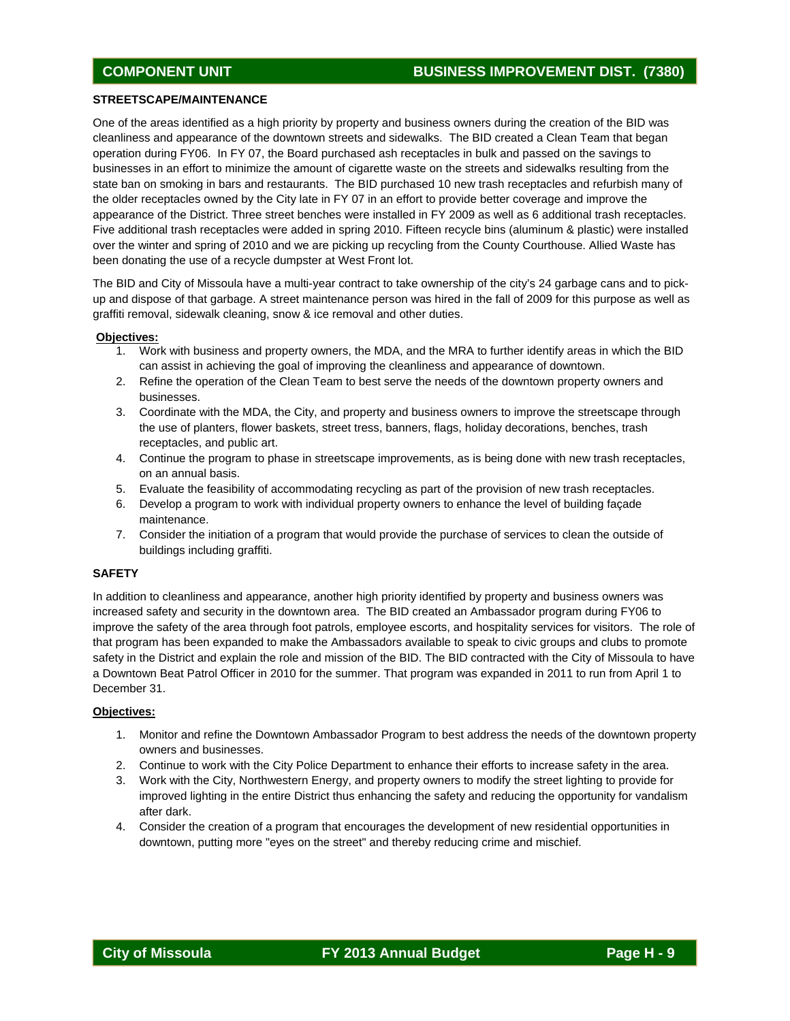#### **STREETSCAPE/MAINTENANCE**

One of the areas identified as a high priority by property and business owners during the creation of the BID was cleanliness and appearance of the downtown streets and sidewalks. The BID created a Clean Team that began operation during FY06. In FY 07, the Board purchased ash receptacles in bulk and passed on the savings to businesses in an effort to minimize the amount of cigarette waste on the streets and sidewalks resulting from the state ban on smoking in bars and restaurants. The BID purchased 10 new trash receptacles and refurbish many of the older receptacles owned by the City late in FY 07 in an effort to provide better coverage and improve the appearance of the District. Three street benches were installed in FY 2009 as well as 6 additional trash receptacles. Five additional trash receptacles were added in spring 2010. Fifteen recycle bins (aluminum & plastic) were installed over the winter and spring of 2010 and we are picking up recycling from the County Courthouse. Allied Waste has been donating the use of a recycle dumpster at West Front lot.

The BID and City of Missoula have a multi-year contract to take ownership of the city's 24 garbage cans and to pickup and dispose of that garbage. A street maintenance person was hired in the fall of 2009 for this purpose as well as graffiti removal, sidewalk cleaning, snow & ice removal and other duties.

#### **Objectives:**

- 1. Work with business and property owners, the MDA, and the MRA to further identify areas in which the BID can assist in achieving the goal of improving the cleanliness and appearance of downtown.
- 2. Refine the operation of the Clean Team to best serve the needs of the downtown property owners and businesses.
- 3. Coordinate with the MDA, the City, and property and business owners to improve the streetscape through the use of planters, flower baskets, street tress, banners, flags, holiday decorations, benches, trash receptacles, and public art.
- 4. Continue the program to phase in streetscape improvements, as is being done with new trash receptacles, on an annual basis.
- 5. Evaluate the feasibility of accommodating recycling as part of the provision of new trash receptacles.
- 6. Develop a program to work with individual property owners to enhance the level of building façade maintenance.
- 7. Consider the initiation of a program that would provide the purchase of services to clean the outside of buildings including graffiti.

#### **SAFETY**

In addition to cleanliness and appearance, another high priority identified by property and business owners was increased safety and security in the downtown area. The BID created an Ambassador program during FY06 to improve the safety of the area through foot patrols, employee escorts, and hospitality services for visitors. The role of that program has been expanded to make the Ambassadors available to speak to civic groups and clubs to promote safety in the District and explain the role and mission of the BID. The BID contracted with the City of Missoula to have a Downtown Beat Patrol Officer in 2010 for the summer. That program was expanded in 2011 to run from April 1 to December 31.

#### **Objectives:**

- 1. Monitor and refine the Downtown Ambassador Program to best address the needs of the downtown property owners and businesses.
- 2. Continue to work with the City Police Department to enhance their efforts to increase safety in the area.
- 3. Work with the City, Northwestern Energy, and property owners to modify the street lighting to provide for improved lighting in the entire District thus enhancing the safety and reducing the opportunity for vandalism after dark.
- 4. Consider the creation of a program that encourages the development of new residential opportunities in downtown, putting more "eyes on the street" and thereby reducing crime and mischief.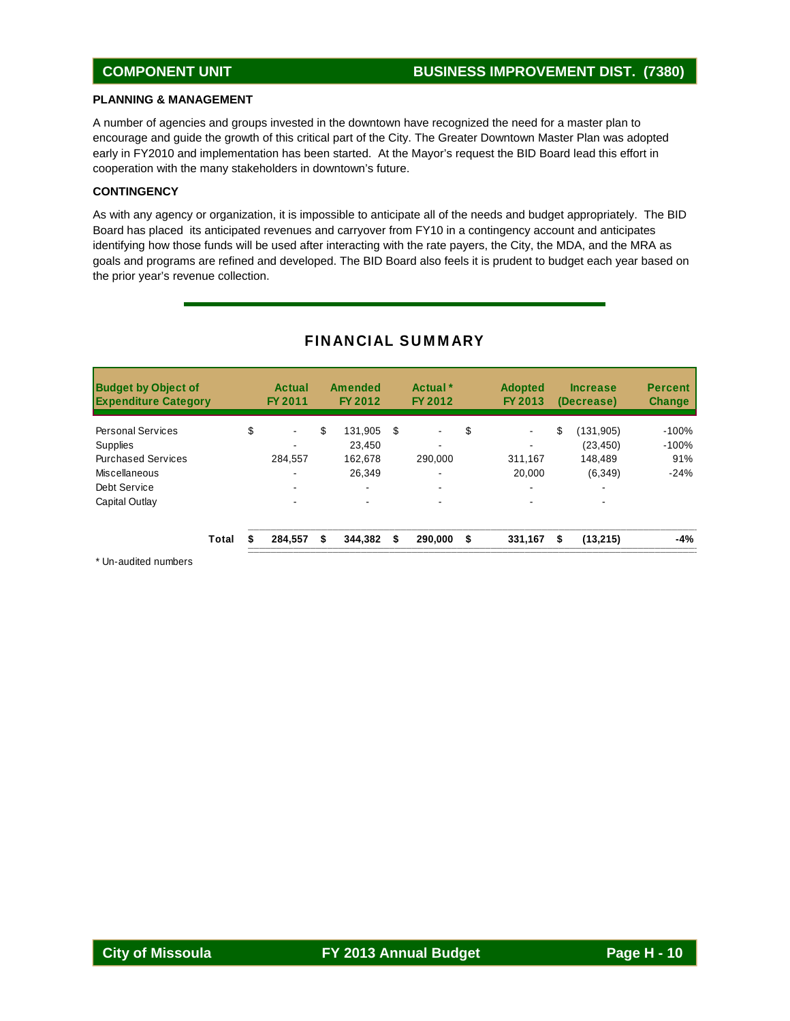#### **PLANNING & MANAGEMENT**

A number of agencies and groups invested in the downtown have recognized the need for a master plan to encourage and guide the growth of this critical part of the City. The Greater Downtown Master Plan was adopted early in FY2010 and implementation has been started. At the Mayor's request the BID Board lead this effort in cooperation with the many stakeholders in downtown's future.

#### **CONTINGENCY**

As with any agency or organization, it is impossible to anticipate all of the needs and budget appropriately. The BID Board has placed its anticipated revenues and carryover from FY10 in a contingency account and anticipates identifying how those funds will be used after interacting with the rate payers, the City, the MDA, and the MRA as goals and programs are refined and developed. The BID Board also feels it is prudent to budget each year based on the prior year's revenue collection.

| <b>Budget by Object of</b><br><b>Expenditure Category</b> |       | Actual<br>FY 2011 | Amended<br>FY 2012 |    | Actual <sup>*</sup><br>FY 2012 | <b>Adopted</b><br>FY 2013 |    | <b>Increase</b><br>(Decrease) | <b>Percent</b><br><b>Change</b> |
|-----------------------------------------------------------|-------|-------------------|--------------------|----|--------------------------------|---------------------------|----|-------------------------------|---------------------------------|
| <b>Personal Services</b>                                  |       | \$<br>$\sim$      | \$<br>131.905      | S  |                                | \$                        | \$ | (131,905)                     | $-100%$                         |
| <b>Supplies</b>                                           |       |                   | 23.450             |    | -                              |                           |    | (23, 450)                     | $-100%$                         |
| <b>Purchased Services</b>                                 |       | 284,557           | 162.678            |    | 290.000                        | 311,167                   |    | 148.489                       | 91%                             |
| Miscellaneous                                             |       | $\sim$            | 26.349             |    | -                              | 20,000                    |    | (6,349)                       | $-24%$                          |
| Debt Service                                              |       |                   |                    |    |                                | -                         |    | -                             |                                 |
| Capital Outlay                                            |       | $\sim$            |                    |    |                                |                           |    |                               |                                 |
|                                                           | Total | 284.557           | \$<br>344.382      | \$ | 290.000                        | \$<br>331,167             | S  | (13,215)                      | -4%                             |

### FINANCIAL SUMMARY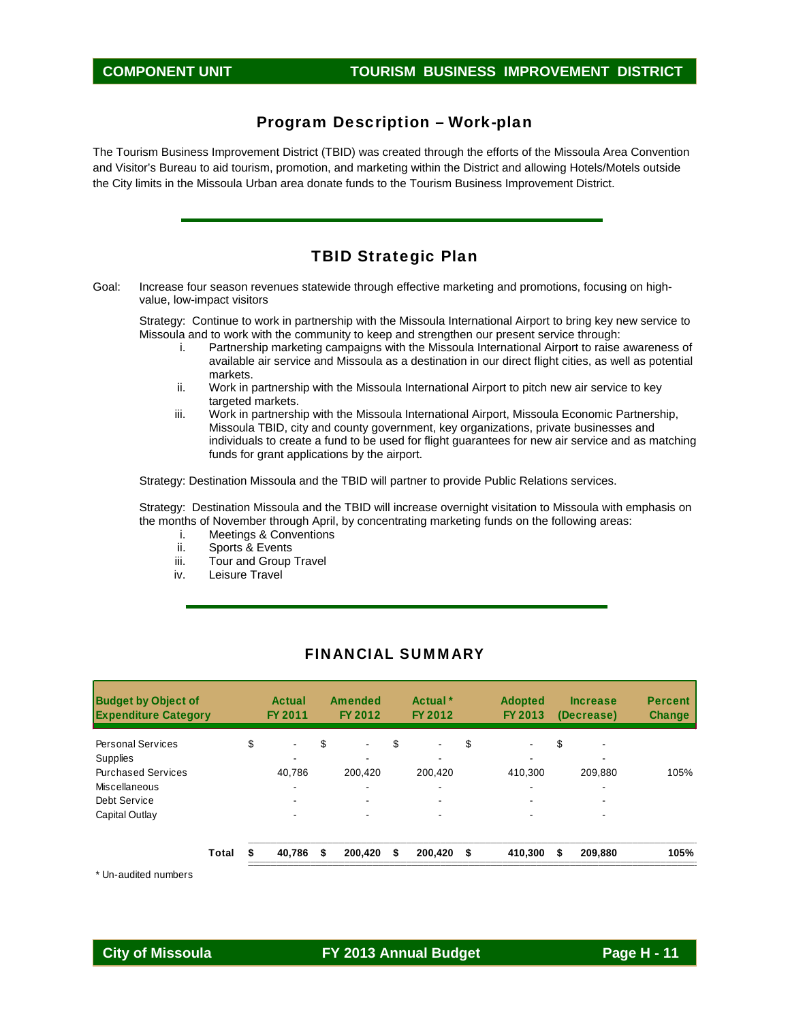### Program Description – Work-plan

The Tourism Business Improvement District (TBID) was created through the efforts of the Missoula Area Convention and Visitor's Bureau to aid tourism, promotion, and marketing within the District and allowing Hotels/Motels outside the City limits in the Missoula Urban area donate funds to the Tourism Business Improvement District.

### TBID Strategic Plan

Goal: Increase four season revenues statewide through effective marketing and promotions, focusing on highvalue, low-impact visitors

Strategy: Continue to work in partnership with the Missoula International Airport to bring key new service to Missoula and to work with the community to keep and strengthen our present service through:

- i. Partnership marketing campaigns with the Missoula International Airport to raise awareness of available air service and Missoula as a destination in our direct flight cities, as well as potential markets.
- ii. Work in partnership with the Missoula International Airport to pitch new air service to key targeted markets.
- iii. Work in partnership with the Missoula International Airport, Missoula Economic Partnership, Missoula TBID, city and county government, key organizations, private businesses and individuals to create a fund to be used for flight guarantees for new air service and as matching funds for grant applications by the airport.

Strategy: Destination Missoula and the TBID will partner to provide Public Relations services.

Strategy: Destination Missoula and the TBID will increase overnight visitation to Missoula with emphasis on the months of November through April, by concentrating marketing funds on the following areas:

- i. Meetings & Conventions
- ii. Sports & Events
- iii. Tour and Group Travel
- iv. Leisure Travel

| <b>Budget by Object of</b><br><b>Expenditure Category</b> |       | <b>Actual</b><br>FY 2011 | <b>Amended</b><br>FY 2012 | Actual <sup>*</sup><br>FY 2012 | <b>Adopted</b><br>FY 2013 | <b>Increase</b><br>(Decrease) | <b>Percent</b><br><b>Change</b> |
|-----------------------------------------------------------|-------|--------------------------|---------------------------|--------------------------------|---------------------------|-------------------------------|---------------------------------|
| <b>Personal Services</b>                                  |       | \$<br>$\blacksquare$     | \$<br>$\blacksquare$      | \$<br>$\blacksquare$           | \$                        | \$                            |                                 |
| <b>Supplies</b>                                           |       | ۰.                       |                           |                                | ۰                         |                               |                                 |
| <b>Purchased Services</b>                                 |       | 40.786                   | 200.420                   | 200.420                        | 410.300                   | 209,880                       | 105%                            |
| Miscellaneous                                             |       | ۰                        | -                         |                                |                           |                               |                                 |
| Debt Service                                              |       |                          | -                         |                                |                           |                               |                                 |
| Capital Outlay                                            |       | ۰                        |                           |                                |                           |                               |                                 |
|                                                           | Total | 40.786                   | \$<br>200.420             | \$<br>200.420                  | \$<br>410.300             | \$<br>209,880                 | 105%                            |

#### FINANCIAL SUMMARY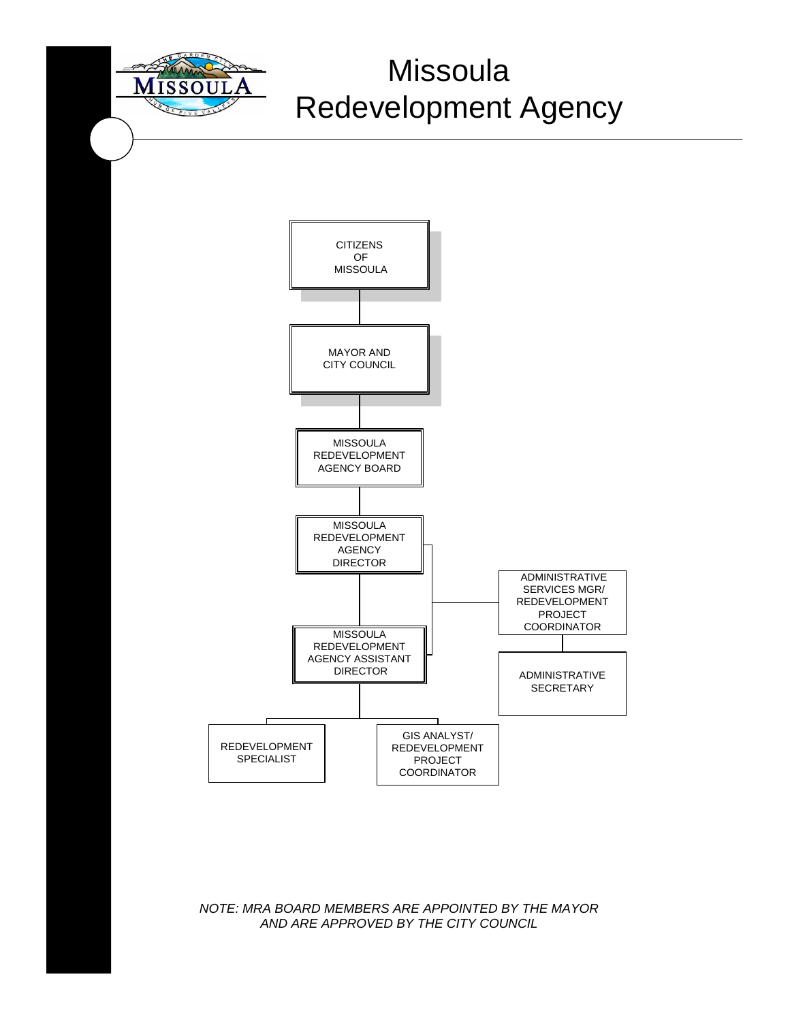

# Missoula Redevelopment Agency



### *NOTE: MRA BOARD MEMBERS ARE APPOINTED BY THE MAYOR AND ARE APPROVED BY THE CITY COUNCIL*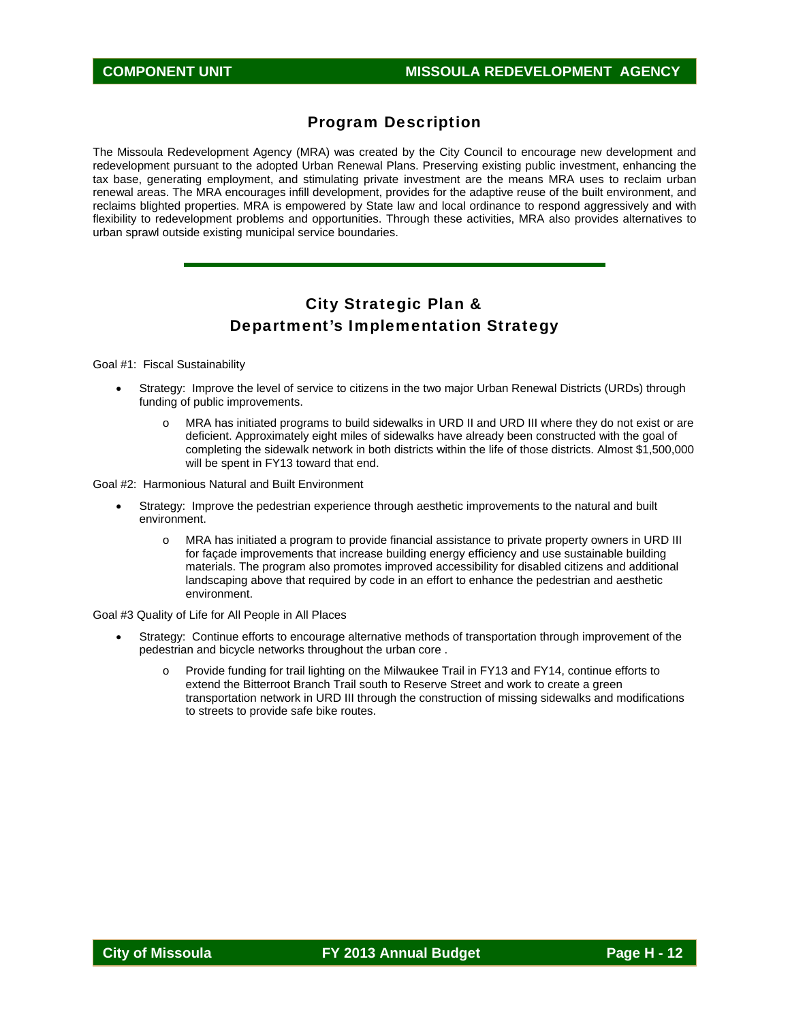### Program Description

The Missoula Redevelopment Agency (MRA) was created by the City Council to encourage new development and redevelopment pursuant to the adopted Urban Renewal Plans. Preserving existing public investment, enhancing the tax base, generating employment, and stimulating private investment are the means MRA uses to reclaim urban renewal areas. The MRA encourages infill development, provides for the adaptive reuse of the built environment, and reclaims blighted properties. MRA is empowered by State law and local ordinance to respond aggressively and with flexibility to redevelopment problems and opportunities. Through these activities, MRA also provides alternatives to urban sprawl outside existing municipal service boundaries.

## City Strategic Plan & Department's Implementation Strategy

Goal #1: Fiscal Sustainability

- Strategy: Improve the level of service to citizens in the two major Urban Renewal Districts (URDs) through funding of public improvements.
	- o MRA has initiated programs to build sidewalks in URD II and URD III where they do not exist or are deficient. Approximately eight miles of sidewalks have already been constructed with the goal of completing the sidewalk network in both districts within the life of those districts. Almost \$1,500,000 will be spent in FY13 toward that end.

Goal #2: Harmonious Natural and Built Environment

- Strategy: Improve the pedestrian experience through aesthetic improvements to the natural and built environment.
	- MRA has initiated a program to provide financial assistance to private property owners in URD III for façade improvements that increase building energy efficiency and use sustainable building materials. The program also promotes improved accessibility for disabled citizens and additional landscaping above that required by code in an effort to enhance the pedestrian and aesthetic environment.

Goal #3 Quality of Life for All People in All Places

- Strategy: Continue efforts to encourage alternative methods of transportation through improvement of the pedestrian and bicycle networks throughout the urban core .
	- o Provide funding for trail lighting on the Milwaukee Trail in FY13 and FY14, continue efforts to extend the Bitterroot Branch Trail south to Reserve Street and work to create a green transportation network in URD III through the construction of missing sidewalks and modifications to streets to provide safe bike routes.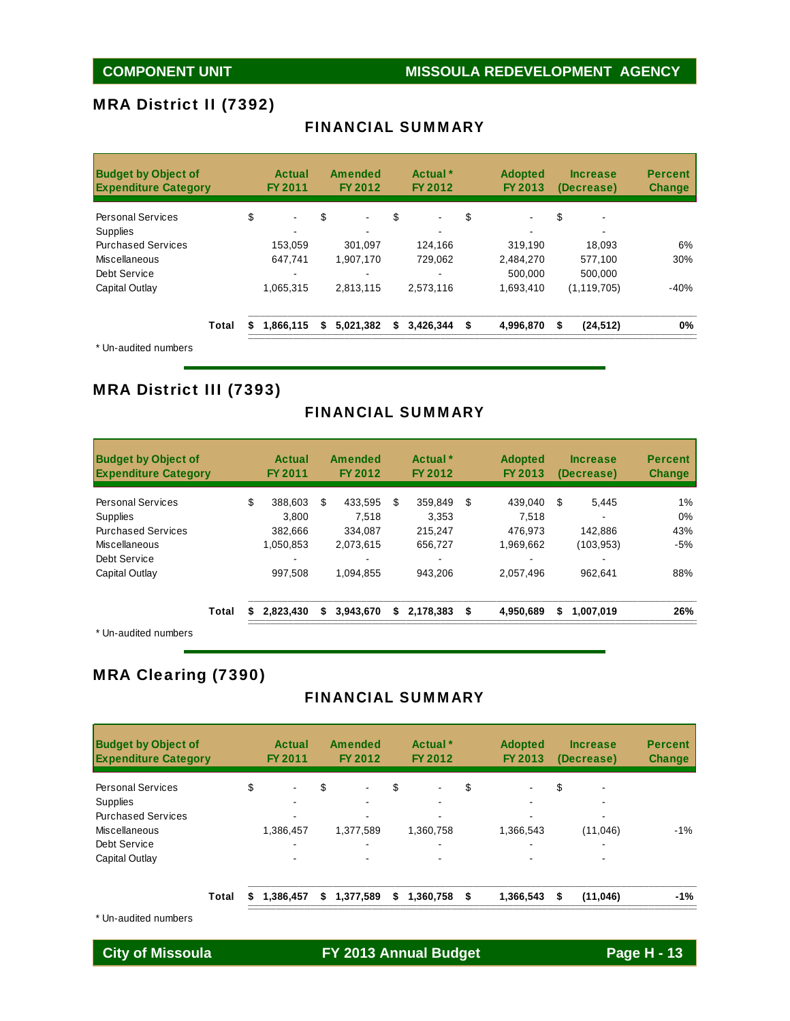### MRA District II (7392)

| <b>Budget by Object of</b><br><b>Expenditure Category</b> |       | Actual<br><b>FY 2011</b> | <b>Amended</b><br>FY 2012 |    | Actual <sup>*</sup><br>FY 2012 | <b>Adopted</b><br>FY 2013 | <b>Increase</b><br>(Decrease) | <b>Percent</b><br><b>Change</b> |
|-----------------------------------------------------------|-------|--------------------------|---------------------------|----|--------------------------------|---------------------------|-------------------------------|---------------------------------|
| <b>Personal Services</b>                                  |       | \$<br>$\sim$             | \$<br>۰.                  | \$ | $\blacksquare$                 | \$<br>$\blacksquare$      | \$                            |                                 |
| <b>Supplies</b>                                           |       |                          |                           |    |                                |                           |                               |                                 |
| <b>Purchased Services</b>                                 |       | 153.059                  | 301.097                   |    | 124.166                        | 319.190                   | 18.093                        | 6%                              |
| Miscellaneous                                             |       | 647.741                  | 1.907.170                 |    | 729.062                        | 2,484,270                 | 577,100                       | 30%                             |
| Debt Service                                              |       |                          |                           |    | $\,$                           | 500.000                   | 500.000                       |                                 |
| Capital Outlay                                            |       | 1,065,315                | 2,813,115                 |    | 2,573,116                      | 1,693,410                 | (1, 119, 705)                 | $-40%$                          |
|                                                           | Total | 1.866.115<br>S           | \$<br>5.021.382           | S. | 3.426.344                      | \$<br>4,996,870           | \$<br>(24, 512)               | 0%                              |
| $*$ $\Box$ and it all annual area                         |       |                          |                           |    |                                |                           |                               |                                 |

### FINANCIAL SUMMARY

Un-audited numbers

### MRA District III (7393)

### FINANCIAL SUMMARY

| <b>Budget by Object of</b><br><b>Expenditure Category</b> |    | Actual<br>FY 2011 |    | Amended<br>FY 2012 |    | Actual <sup>*</sup><br>FY 2012 | <b>Adopted</b><br>FY 2013 |    | <b>Increase</b><br>(Decrease) | <b>Percent</b><br><b>Change</b> |
|-----------------------------------------------------------|----|-------------------|----|--------------------|----|--------------------------------|---------------------------|----|-------------------------------|---------------------------------|
| <b>Personal Services</b>                                  | \$ | 388.603           | \$ | 433.595            | S  | 359.849                        | \$<br>439.040             | S  | 5.445                         | $1\%$                           |
| <b>Supplies</b>                                           |    | 3.800             |    | 7.518              |    | 3,353                          | 7.518                     |    |                               | 0%                              |
| <b>Purchased Services</b>                                 |    | 382.666           |    | 334.087            |    | 215.247                        | 476.973                   |    | 142.886                       | 43%                             |
| Miscellaneous                                             |    | 1.050.853         |    | 2.073.615          |    | 656.727                        | 1.969.662                 |    | (103, 953)                    | $-5%$                           |
| Debt Service                                              |    |                   |    |                    |    |                                |                           |    |                               |                                 |
| Capital Outlay                                            |    | 997.508           |    | 1.094.855          |    | 943.206                        | 2.057.496                 |    | 962.641                       | 88%                             |
| Total                                                     | S  | 2.823.430         | S  | 3,943,670          | \$ | 2.178.383                      | \$<br>4,950,689           | \$ | 1,007,019                     | 26%                             |
| ◆ 1.1.5 percent to a discussion and                       |    |                   |    |                    |    |                                |                           |    |                               |                                 |

\* Un-audited numbers

### MRA Clearing (7390)

### FINANCIAL SUMMARY

| <b>Budget by Object of</b><br><b>Expenditure Category</b> |       |    | Actual<br><b>FY 2011</b> | <b>Amended</b><br>FY 2012 | Actual <sup>*</sup><br>FY 2012 | <b>Adopted</b><br>FY 2013 | <b>Increase</b><br>(Decrease) | <b>Percent</b><br><b>Change</b> |
|-----------------------------------------------------------|-------|----|--------------------------|---------------------------|--------------------------------|---------------------------|-------------------------------|---------------------------------|
| <b>Personal Services</b>                                  |       | \$ | $\blacksquare$           | \$<br>$\blacksquare$      | \$<br>$\blacksquare$           | \$<br>٠                   | \$                            |                                 |
| <b>Supplies</b>                                           |       |    | $\sim$                   |                           |                                |                           |                               |                                 |
| <b>Purchased Services</b>                                 |       |    |                          |                           |                                |                           |                               |                                 |
| Miscellaneous                                             |       |    | 1,386,457                | 1,377,589                 | 1,360,758                      | 1,366,543                 | (11,046)                      | $-1%$                           |
| Debt Service                                              |       |    | $\overline{\phantom{0}}$ | -                         | $\overline{\phantom{0}}$       |                           | ۰                             |                                 |
| Capital Outlay                                            |       |    |                          |                           |                                |                           |                               |                                 |
|                                                           | Total | S  | 1,386,457                | \$<br>1,377,589           | \$<br>1,360,758                | \$<br>1,366,543           | \$<br>(11, 046)               | $-1%$                           |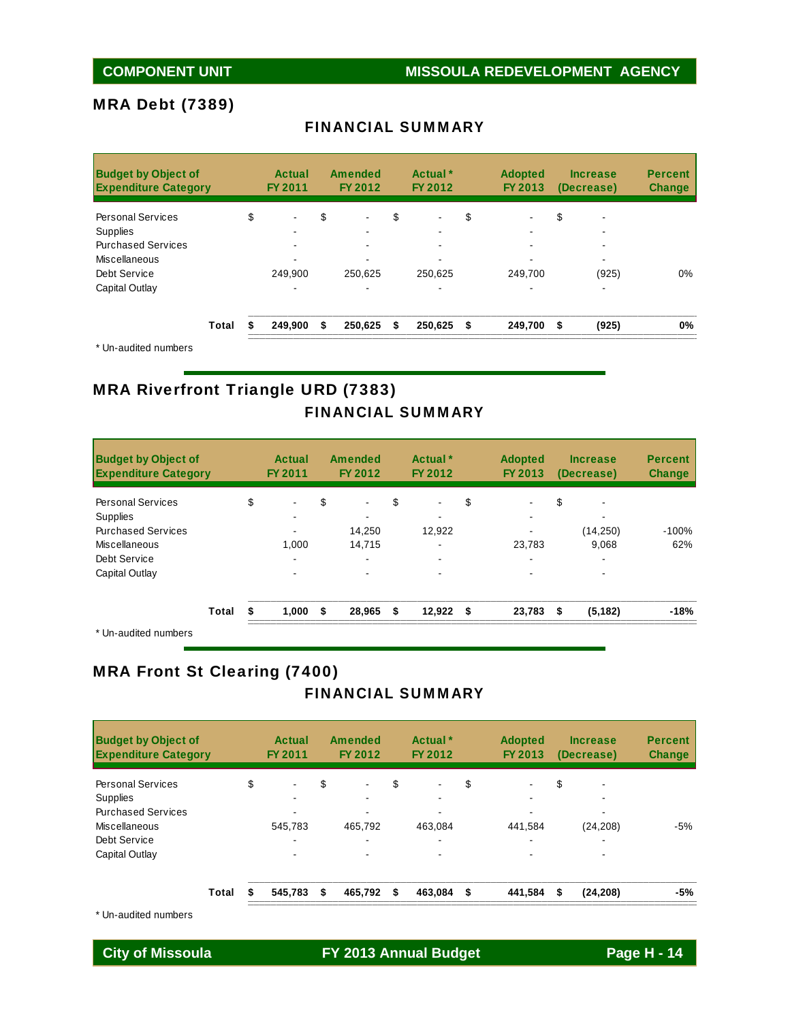## **COMPONENT UNIT WISSOULA REDEVELOPMENT AGENCY**

### MRA Debt (7389)

| <b>Budget by Object of</b><br><b>Expenditure Category</b> |       | <b>Actual</b><br>FY 2011 | <b>Amended</b><br>FY 2012 | Actual <sup>*</sup><br>FY 2012 | <b>Adopted</b><br>FY 2013 | <b>Increase</b><br>(Decrease) | <b>Percent</b><br><b>Change</b> |
|-----------------------------------------------------------|-------|--------------------------|---------------------------|--------------------------------|---------------------------|-------------------------------|---------------------------------|
| <b>Personal Services</b>                                  |       | \$                       | \$                        | \$                             | \$                        | \$                            |                                 |
| <b>Supplies</b>                                           |       |                          |                           |                                |                           |                               |                                 |
| <b>Purchased Services</b>                                 |       |                          |                           |                                |                           |                               |                                 |
| Miscellaneous                                             |       |                          |                           |                                |                           |                               |                                 |
| Debt Service                                              |       | 249.900                  | 250.625                   | 250.625                        | 249.700                   | (925)                         | $0\%$                           |
| Capital Outlay                                            |       |                          |                           |                                |                           | -                             |                                 |
|                                                           | Total | 249.900                  | \$<br>250.625             | \$<br>250,625 \$               | 249,700                   | \$<br>(925)                   | 0%                              |

### FINANCIAL SUMMARY

\* Un-audited numbers

### MRA Riverfront Triangle URD (7383) FINANCIAL SUMMARY

| <b>Budget by Object of</b><br><b>Expenditure Category</b> |       | Actual<br>FY 2011    | <b>Amended</b><br><b>FY 2012</b> |    | Actual <sup>*</sup><br>FY 2012 | <b>Adopted</b><br>FY 2013 |    | <b>Increase</b><br>(Decrease) | <b>Percent</b><br><b>Change</b> |
|-----------------------------------------------------------|-------|----------------------|----------------------------------|----|--------------------------------|---------------------------|----|-------------------------------|---------------------------------|
| <b>Personal Services</b>                                  |       | \$<br>$\blacksquare$ | \$<br>$\overline{\phantom{0}}$   | \$ | $\blacksquare$                 | \$<br>۰                   | \$ |                               |                                 |
| <b>Supplies</b><br><b>Purchased Services</b>              |       |                      | 14.250                           |    | 12.922                         |                           |    | (14, 250)                     | $-100%$                         |
| Miscellaneous                                             |       | 1.000                | 14.715                           |    |                                | 23.783                    |    | 9.068                         | 62%                             |
| Debt Service                                              |       | ۰.                   |                                  |    | ۰                              |                           |    | ۰                             |                                 |
| Capital Outlay                                            |       | -                    |                                  |    |                                |                           |    |                               |                                 |
|                                                           | Total | \$<br>1,000          | \$<br>28,965                     | S. | 12,922                         | \$<br>23,783              | S  | (5, 182)                      | $-18%$                          |
| * Un-audited numbers                                      |       |                      |                                  |    |                                |                           |    |                               |                                 |

### MRA Front St Clearing (7400)

### FINANCIAL SUMMARY

| <b>Budget by Object of</b><br><b>Expenditure Category</b> |       | Actual<br><b>FY 2011</b> | Amended<br>FY 2012   | Actual <sup>*</sup><br>FY 2012 | <b>Adopted</b><br>FY 2013 | <b>Increase</b><br>(Decrease) | <b>Percent</b><br><b>Change</b> |
|-----------------------------------------------------------|-------|--------------------------|----------------------|--------------------------------|---------------------------|-------------------------------|---------------------------------|
| <b>Personal Services</b>                                  |       | \$<br>٠                  | \$<br>$\blacksquare$ | \$<br>$\blacksquare$           | \$                        | \$                            |                                 |
| Supplies                                                  |       |                          |                      |                                |                           |                               |                                 |
| <b>Purchased Services</b>                                 |       | ۰.                       |                      |                                |                           | -                             |                                 |
| Miscellaneous                                             |       | 545.783                  | 465,792              | 463.084                        | 441,584                   | (24, 208)                     | $-5%$                           |
| Debt Service                                              |       | ۰.                       |                      |                                |                           | -                             |                                 |
| Capital Outlay                                            |       | ۰.                       |                      |                                |                           |                               |                                 |
|                                                           | Total | 545.783                  | \$<br>465.792        | \$<br>463,084                  | \$<br>441,584             | \$<br>(24, 208)               | -5%                             |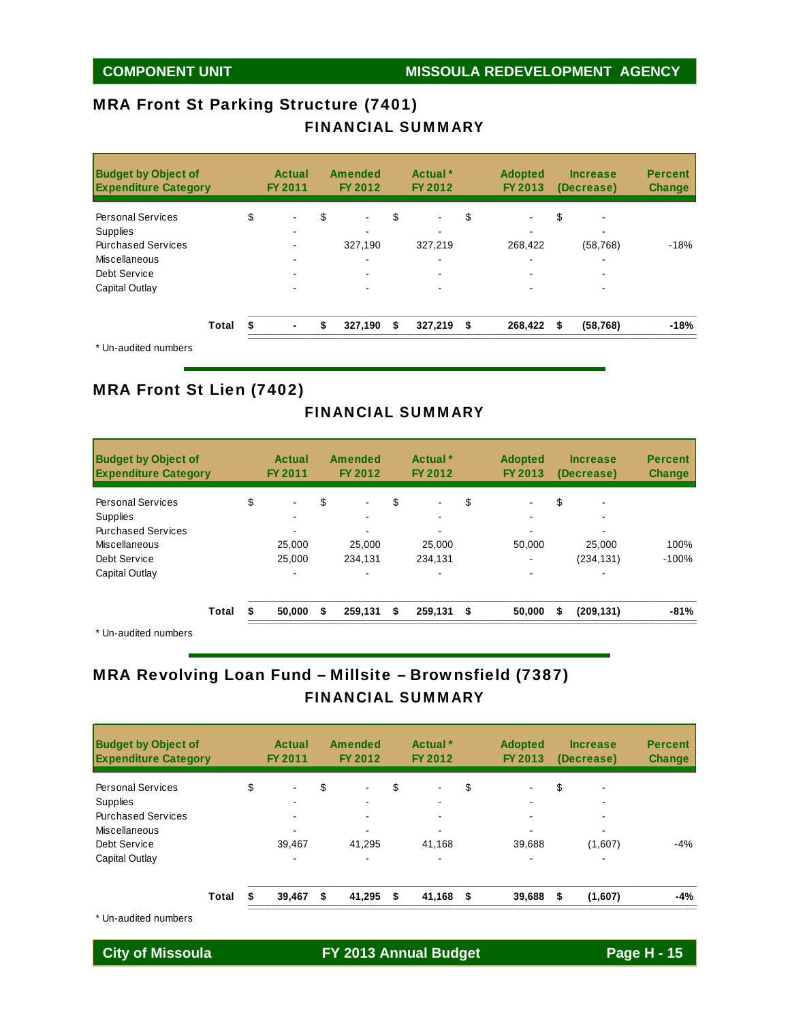### MRA Front St Parking Structure (7401) FINANCIAL SUMMARY

| <b>Budget by Object of</b><br><b>Expenditure Category</b> |       | Actual<br><b>FY 2011</b> | <b>Amended</b><br>FY 2012 |    | Actual *<br>FY 2012      | <b>Adopted</b><br>FY 2013 |    | <b>Increase</b><br>(Decrease) | <b>Percent</b><br><b>Change</b> |
|-----------------------------------------------------------|-------|--------------------------|---------------------------|----|--------------------------|---------------------------|----|-------------------------------|---------------------------------|
| <b>Personal Services</b>                                  |       | \$<br>$\blacksquare$     | \$<br>$\blacksquare$      | \$ | $\blacksquare$           | \$                        | \$ |                               |                                 |
| <b>Supplies</b>                                           |       |                          |                           |    |                          |                           |    |                               |                                 |
| <b>Purchased Services</b>                                 |       |                          | 327.190                   |    | 327.219                  | 268,422                   |    | (58, 768)                     | $-18%$                          |
| Miscellaneous                                             |       |                          | -                         |    | $\overline{\phantom{0}}$ |                           |    |                               |                                 |
| Debt Service                                              |       |                          |                           |    | $\overline{\phantom{0}}$ |                           |    |                               |                                 |
| Capital Outlay                                            |       |                          |                           |    |                          |                           |    |                               |                                 |
|                                                           | Total | \$<br>$\blacksquare$     | \$<br>327,190             | S. | $327,219$ \$             | 268,422                   | S  | (58, 768)                     | -18%                            |
| * Un-audited numbers                                      |       |                          |                           |    |                          |                           |    |                               |                                 |

### MRA Front St Lien (7402)

### FINANCIAL SUMMARY

| <b>Budget by Object of</b><br><b>Expenditure Category</b> |       | Actual<br><b>FY 2011</b> | Amended<br>FY 2012   | Actual <sup>*</sup><br>FY 2012 | <b>Adopted</b><br>FY 2013 | <b>Increase</b><br>(Decrease) | <b>Percent</b><br><b>Change</b> |
|-----------------------------------------------------------|-------|--------------------------|----------------------|--------------------------------|---------------------------|-------------------------------|---------------------------------|
| <b>Personal Services</b>                                  |       | \$<br>$\blacksquare$     | \$<br>$\blacksquare$ | \$<br>$\overline{\phantom{a}}$ | \$                        | \$                            |                                 |
| <b>Supplies</b>                                           |       |                          |                      |                                |                           |                               |                                 |
| <b>Purchased Services</b>                                 |       |                          |                      |                                |                           |                               |                                 |
| <b>Miscellaneous</b>                                      |       | 25.000                   | 25,000               | 25,000                         | 50,000                    | 25,000                        | 100%                            |
| Debt Service                                              |       | 25.000                   | 234.131              | 234,131                        | -                         | (234, 131)                    | $-100%$                         |
| Capital Outlay                                            |       |                          |                      |                                |                           |                               |                                 |
|                                                           | Total | 50,000<br>S              | \$<br>259,131        | \$<br>259,131                  | \$<br>50,000              | \$<br>(209, 131)              | $-81%$                          |
|                                                           |       |                          |                      |                                |                           |                               |                                 |

\* Un-audited numbers

## MRA Revolving Loan Fund – Millsite – Brownsfield (7387) FINANCIAL SUMMARY

| <b>Budget by Object of</b><br><b>Expenditure Category</b> |       | Actual<br>FY 2011        | Amended<br>FY 2012 |    | Actual <sup>*</sup><br>FY 2012 | <b>Adopted</b><br>FY 2013 |    | <b>Increase</b><br>(Decrease) | <b>Percent</b><br><b>Change</b> |
|-----------------------------------------------------------|-------|--------------------------|--------------------|----|--------------------------------|---------------------------|----|-------------------------------|---------------------------------|
| <b>Personal Services</b>                                  |       | \$<br>$\sim$             | \$                 | \$ | $\overline{\phantom{0}}$       | \$                        | \$ |                               |                                 |
| <b>Supplies</b>                                           |       | $\overline{\phantom{0}}$ |                    |    | $\overline{\phantom{0}}$       |                           |    |                               |                                 |
| <b>Purchased Services</b>                                 |       | $\sim$                   | $\blacksquare$     |    | $\sim$                         |                           |    | ۰                             |                                 |
| Miscellaneous                                             |       | $\overline{\phantom{0}}$ |                    |    | $\overline{\phantom{0}}$       |                           |    |                               |                                 |
| Debt Service                                              |       | 39.467                   | 41.295             |    | 41.168                         | 39,688                    |    | (1,607)                       | $-4%$                           |
| Capital Outlay                                            |       | $\blacksquare$           |                    |    | $\overline{\phantom{a}}$       | ۰                         |    | ۰                             |                                 |
|                                                           | Total | 39.467                   | \$<br>41,295       | S  | 41,168                         | \$<br>39,688              | S  | (1,607)                       | $-4%$                           |